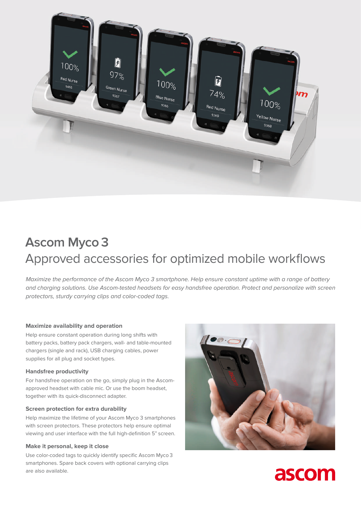

# **Ascom Myco 3** Approved accessories for optimized mobile workflows

*Maximize the performance of the Ascom Myco 3 smartphone. Help ensure constant uptime with a range of battery and charging solutions. Use Ascom-tested headsets for easy handsfree operation. Protect and personalize with screen protectors, sturdy carrying clips and color-coded tags.* 

# **Maximize availability and operation**

Help ensure constant operation during long shifts with battery packs, battery pack chargers, wall- and table-mounted chargers (single and rack), USB charging cables, power supplies for all plug and socket types.

# **Handsfree productivity**

For handsfree operation on the go, simply plug in the Ascomapproved headset with cable mic. Or use the boom headset, together with its quick-disconnect adapter.

### **Screen protection for extra durability**

Help maximize the lifetime of your Ascom Myco 3 smartphones with screen protectors. These protectors help ensure optimal viewing and user interface with the full high-definition 5" screen.

#### **Make it personal, keep it close**

Use color-coded tags to quickly identify specific Ascom Myco 3 smartphones. Spare back covers with optional carrying clips are also available.